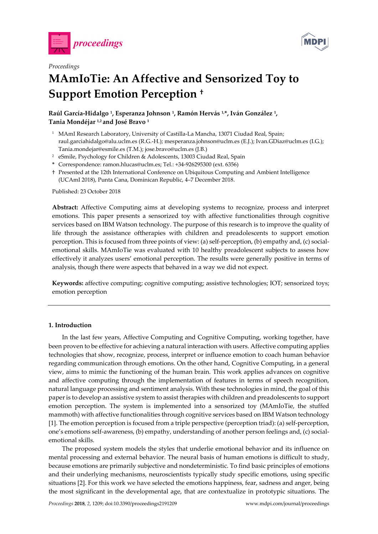

*Proceedings* 



# **MAmIoTie: An Affective and Sensorized Toy to Support Emotion Perception †**

**Raúl García-Hidalgo 1, Esperanza Johnson 1, Ramón Hervás 1,\*, Iván González 1, Tania Mondéjar 1,2 and José Bravo 1**

- <sup>1</sup> MAmI Research Laboratory, University of Castilla-La Mancha, 13071 Ciudad Real, Spain; raul.garciahidalgo@alu.uclm.es (R.G.-H.); mesperanza.johnson@uclm.es (E.J.); Ivan.GDiaz@uclm.es (I.G.); Tania.mondejar@esmile.es (T.M.); jose.bravo@uclm.es (J.B.)
- 2 eSmile, Psychology for Children & Adolescents, 13003 Ciudad Real, Spain
- **\*** Correspondence: ramon.hlucas@uclm.es; Tel.: +34-926295300 (ext. 6356)
- † Presented at the 12th International Conference on Ubiquitous Computing and Ambient Intelligence (UCAmI 2018), Punta Cana, Dominican Republic, 4–7 December 2018.

Published: 23 October 2018

**Abstract:** Affective Computing aims at developing systems to recognize, process and interpret emotions. This paper presents a sensorized toy with affective functionalities through cognitive services based on IBM Watson technology. The purpose of this research is to improve the quality of life through the assistance oftherapies with children and preadolescents to support emotion perception. This is focused from three points of view: (a) self-perception, (b) empathy and, (c) socialemotional skills. MAmIoTie was evaluated with 10 healthy preadolescent subjects to assess how effectively it analyzes users' emotional perception. The results were generally positive in terms of analysis, though there were aspects that behaved in a way we did not expect.

**Keywords:** affective computing; cognitive computing; assistive technologies; IOT; sensorized toys; emotion perception

### **1. Introduction**

In the last few years, Affective Computing and Cognitive Computing, working together, have been proven to be effective for achieving a natural interaction with users. Affective computing applies technologies that show, recognize, process, interpret or influence emotion to coach human behavior regarding communication through emotions. On the other hand, Cognitive Computing, in a general view, aims to mimic the functioning of the human brain. This work applies advances on cognitive and affective computing through the implementation of features in terms of speech recognition, natural language processing and sentiment analysis. With these technologies in mind, the goal of this paper is to develop an assistive system to assist therapies with children and preadolescents to support emotion perception. The system is implemented into a sensorized toy (MAmIoTie, the stuffed mammoth) with affective functionalities through cognitive services based on IBM Watson technology [1]. The emotion perception is focused from a triple perspective (perception triad): (a) self-perception, one's emotions self-awareness, (b) empathy, understanding of another person feelings and, (c) socialemotional skills.

The proposed system models the styles that underlie emotional behavior and its influence on mental processing and external behavior. The neural basis of human emotions is difficult to study, because emotions are primarily subjective and nondeterministic. To find basic principles of emotions and their underlying mechanisms, neuroscientists typically study specific emotions, using specific situations [2]. For this work we have selected the emotions happiness, fear, sadness and anger, being the most significant in the developmental age, that are contextualize in prototypic situations. The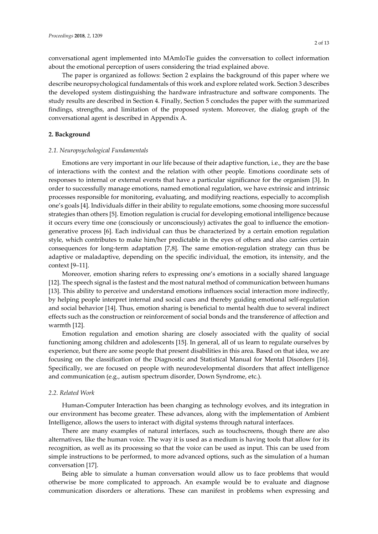conversational agent implemented into MAmIoTie guides the conversation to collect information about the emotional perception of users considering the triad explained above.

The paper is organized as follows: Section 2 explains the background of this paper where we describe neuropsychological fundamentals of this work and explore related work. Section 3 describes the developed system distinguishing the hardware infrastructure and software components. The study results are described in Section 4. Finally, Section 5 concludes the paper with the summarized findings, strengths, and limitation of the proposed system. Moreover, the dialog graph of the conversational agent is described in Appendix A.

### **2. Background**

### *2.1. Neuropsychological Fundamentals*

Emotions are very important in our life because of their adaptive function, i.e., they are the base of interactions with the context and the relation with other people. Emotions coordinate sets of responses to internal or external events that have a particular significance for the organism [3]. In order to successfully manage emotions, named emotional regulation, we have extrinsic and intrinsic processes responsible for monitoring, evaluating, and modifying reactions, especially to accomplish one's goals [4]. Individuals differ in their ability to regulate emotions, some choosing more successful strategies than others [5]. Emotion regulation is crucial for developing emotional intelligence because it occurs every time one (consciously or unconsciously) activates the goal to influence the emotiongenerative process [6]. Each individual can thus be characterized by a certain emotion regulation style, which contributes to make him/her predictable in the eyes of others and also carries certain consequences for long-term adaptation [7,8]. The same emotion-regulation strategy can thus be adaptive or maladaptive, depending on the specific individual, the emotion, its intensity, and the context [9–11].

Moreover, emotion sharing refers to expressing one's emotions in a socially shared language [12]. The speech signal is the fastest and the most natural method of communication between humans [13]. This ability to perceive and understand emotions influences social interaction more indirectly, by helping people interpret internal and social cues and thereby guiding emotional self-regulation and social behavior [14]. Thus, emotion sharing is beneficial to mental health due to several indirect effects such as the construction or reinforcement of social bonds and the transference of affection and warmth [12].

Emotion regulation and emotion sharing are closely associated with the quality of social functioning among children and adolescents [15]. In general, all of us learn to regulate ourselves by experience, but there are some people that present disabilities in this area. Based on that idea, we are focusing on the classification of the Diagnostic and Statistical Manual for Mental Disorders [16]. Specifically, we are focused on people with neurodevelopmental disorders that affect intelligence and communication (e.g., autism spectrum disorder, Down Syndrome, etc.).

### *2.2. Related Work*

Human-Computer Interaction has been changing as technology evolves, and its integration in our environment has become greater. These advances, along with the implementation of Ambient Intelligence, allows the users to interact with digital systems through natural interfaces.

There are many examples of natural interfaces, such as touchscreens, though there are also alternatives, like the human voice. The way it is used as a medium is having tools that allow for its recognition, as well as its processing so that the voice can be used as input. This can be used from simple instructions to be performed, to more advanced options, such as the simulation of a human conversation [17].

Being able to simulate a human conversation would allow us to face problems that would otherwise be more complicated to approach. An example would be to evaluate and diagnose communication disorders or alterations. These can manifest in problems when expressing and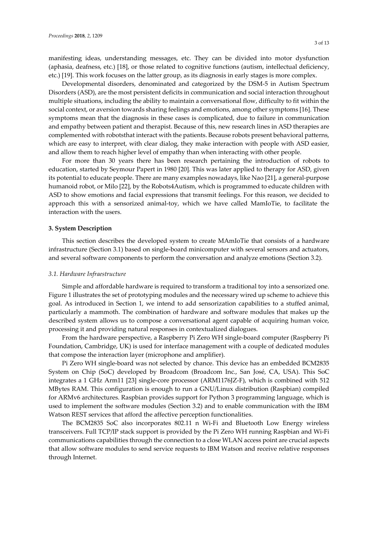manifesting ideas, understanding messages, etc. They can be divided into motor dysfunction (aphasia, deafness, etc.) [18], or those related to cognitive functions (autism, intellectual deficiency, etc.) [19]. This work focuses on the latter group, as its diagnosis in early stages is more complex.

Developmental disorders, denominated and categorized by the DSM-5 in Autism Spectrum Disorders (ASD), are the most persistent deficits in communication and social interaction throughout multiple situations, including the ability to maintain a conversational flow, difficulty to fit within the social context, or aversion towards sharing feelings and emotions, among other symptoms [16]. These symptoms mean that the diagnosis in these cases is complicated, due to failure in communication and empathy between patient and therapist. Because of this, new research lines in ASD therapies are complemented with robotsthat interact with the patients. Because robots present behavioral patterns, which are easy to interpret, with clear dialog, they make interaction with people with ASD easier, and allow them to reach higher level of empathy than when interacting with other people.

For more than 30 years there has been research pertaining the introduction of robots to education, started by Seymour Papert in 1980 [20]. This was later applied to therapy for ASD, given its potential to educate people. There are many examples nowadays, like Nao [21], a general-purpose humanoid robot, or Milo [22], by the Robots4Autism, which is programmed to educate children with ASD to show emotions and facial expressions that transmit feelings. For this reason, we decided to approach this with a sensorized animal-toy, which we have called MamIoTie, to facilitate the interaction with the users.

### **3. System Description**

This section describes the developed system to create MAmIoTie that consists of a hardware infrastructure (Section 3.1) based on single-board minicomputer with several sensors and actuators, and several software components to perform the conversation and analyze emotions (Section 3.2).

### *3.1. Hardware Infraestructure*

Simple and affordable hardware is required to transform a traditional toy into a sensorized one. Figure 1 illustrates the set of prototyping modules and the necessary wired up scheme to achieve this goal. As introduced in Section 1, we intend to add sensorization capabilities to a stuffed animal, particularly a mammoth. The combination of hardware and software modules that makes up the described system allows us to compose a conversational agent capable of acquiring human voice, processing it and providing natural responses in contextualized dialogues.

From the hardware perspective, a Raspberry Pi Zero WH single-board computer (Raspberry Pi Foundation, Cambridge, UK) is used for interface management with a couple of dedicated modules that compose the interaction layer (microphone and amplifier).

Pi Zero WH single-board was not selected by chance. This device has an embedded BCM2835 System on Chip (SoC) developed by Broadcom (Broadcom Inc., San José, CA, USA). This SoC integrates a 1 GHz Arm11 [23] single-core processor (ARM1176JZ-F), which is combined with 512 MBytes RAM. This configuration is enough to run a GNU/Linux distribution (Raspbian) compiled for ARMv6 architectures. Raspbian provides support for Python 3 programming language, which is used to implement the software modules (Section 3.2) and to enable communication with the IBM Watson REST services that afford the affective perception functionalities.

The BCM2835 SoC also incorporates 802.11 n Wi-Fi and Bluetooth Low Energy wireless transceivers. Full TCP/IP stack support is provided by the Pi Zero WH running Raspbian and Wi-Fi communications capabilities through the connection to a close WLAN access point are crucial aspects that allow software modules to send service requests to IBM Watson and receive relative responses through Internet.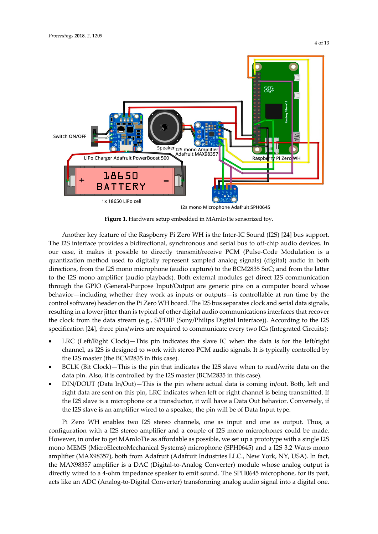

**Figure 1.** Hardware setup embedded in MAmIoTie sensorized toy.

Another key feature of the Raspberry Pi Zero WH is the Inter-IC Sound (I2S) [24] bus support. The I2S interface provides a bidirectional, synchronous and serial bus to off-chip audio devices. In our case, it makes it possible to directly transmit/receive PCM (Pulse-Code Modulation is a quantization method used to digitally represent sampled analog signals) (digital) audio in both directions, from the I2S mono microphone (audio capture) to the BCM2835 SoC; and from the latter to the I2S mono amplifier (audio playback). Both external modules get direct I2S communication through the GPIO (General-Purpose Input/Output are generic pins on a computer board whose behavior—including whether they work as inputs or outputs—is controllable at run time by the control software) header on the Pi Zero WH board. The I2S bus separates clock and serial data signals, resulting in a lower jitter than is typical of other digital audio communications interfaces that recover the clock from the data stream (e.g., S/PDIF (Sony/Philips Digital Interface)). According to the I2S specification [24], three pins/wires are required to communicate every two ICs (Integrated Circuits):

- LRC (Left/Right Clock)—This pin indicates the slave IC when the data is for the left/right channel, as I2S is designed to work with stereo PCM audio signals. It is typically controlled by the I2S master (the BCM2835 in this case).
- BCLK (Bit Clock)—This is the pin that indicates the I2S slave when to read/write data on the data pin. Also, it is controlled by the I2S master (BCM2835 in this case).
- DIN/DOUT (Data In/Out)—This is the pin where actual data is coming in/out. Both, left and right data are sent on this pin, LRC indicates when left or right channel is being transmitted. If the I2S slave is a microphone or a transductor, it will have a Data Out behavior. Conversely, if the I2S slave is an amplifier wired to a speaker, the pin will be of Data Input type.

Pi Zero WH enables two I2S stereo channels, one as input and one as output. Thus, a configuration with a I2S stereo amplifier and a couple of I2S mono microphones could be made. However, in order to get MAmIoTie as affordable as possible, we set up a prototype with a single I2S mono MEMS (MicroElectroMechanical Systems) microphone (SPH0645) and a I2S 3.2 Watts mono amplifier (MAX98357), both from Adafruit (Adafruit Industries LLC., New York, NY, USA). In fact, the MAX98357 amplifier is a DAC (Digital-to-Analog Converter) module whose analog output is directly wired to a 4-ohm impedance speaker to emit sound. The SPH0645 microphone, for its part, acts like an ADC (Analog-to-Digital Converter) transforming analog audio signal into a digital one.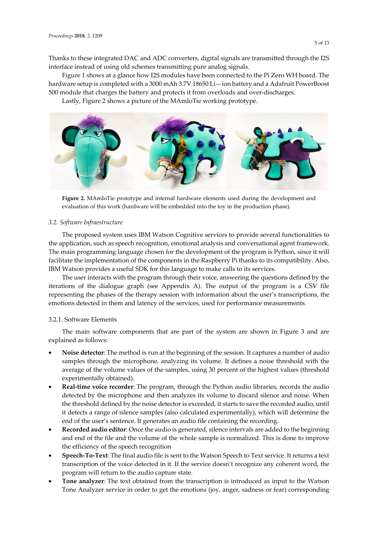Thanks to these integrated DAC and ADC converters, digital signals are transmitted through the I2S interface instead of using old schemes transmitting pure analog signals.

Figure 1 shows at a glance how I2S modules have been connected to the Pi Zero WH board. The hardware setup is completed with a 3000 mAh 3.7V 18650 Li-ion battery and a Adafruit PowerBoost 500 module that charges the battery and protects it from overloads and over-discharges.

Lastly, Figure 2 shows a picture of the MAmIoTie working prototype.



**Figure 2.** MAmIoTie prototype and internal hardware elements used during the development and evaluation of this work (hardware will be embedded into the toy in the production phase).

# *3.2. Software Infraestructure*

The proposed system uses IBM Watson Cognitive services to provide several functionalities to the application, such as speech recognition, emotional analysis and conversational agent framework. The main programming language chosen for the development of the program is Python, since it will facilitate the implementation of the components in the Raspberry Pi thanks to its compatibility. Also, IBM Watson provides a useful SDK for this language to make calls to its services.

The user interacts with the program through their voice, answering the questions defined by the iterations of the dialogue graph (see Appendix A). The output of the program is a CSV file representing the phases of the therapy session with information about the user's transcriptions, the emotions detected in them and latency of the services, used for performance measurements.

# 3.2.1. Software Elements

The main software components that are part of the system are shown in Figure 3 and are explained as follows:

- **Noise detector**: The method is run at the beginning of the session. It captures a number of audio samples through the microphone, analyzing its volume. It defines a noise threshold with the average of the volume values of the samples, using 30 percent of the highest values (threshold experimentally obtained).
- **Real-time voice recorder**: The program, through the Python audio libraries, records the audio detected by the microphone and then analyzes its volume to discard silence and noise. When the threshold defined by the noise detector is exceeded, it starts to save the recorded audio, until it detects a range of silence samples (also calculated experimentally), which will determine the end of the user's sentence. It generates an audio file containing the recording.
- **Recorded audio editor**: Once the audio is generated, silence intervals are added to the beginning and end of the file and the volume of the whole sample is normalized. This is done to improve the efficiency of the speech recognition
- **Speech-To-Text**: The final audio file is sent to the Watson Speech to Text service. It returns a text transcription of the voice detected in it. If the service doesn't recognize any coherent word, the program will return to the audio capture state.
- **Tone analyzer**: The text obtained from the transcription is introduced as input to the Watson Tone Analyzer service in order to get the emotions (joy, anger, sadness or fear) corresponding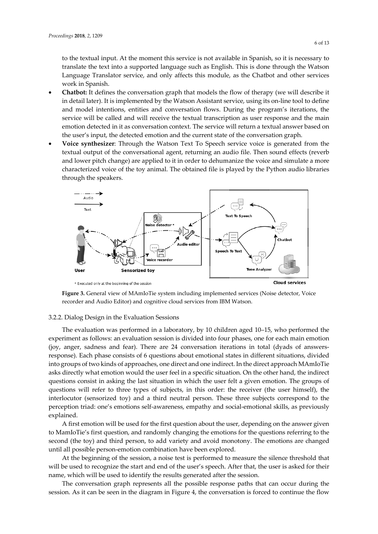to the textual input. At the moment this service is not available in Spanish, so it is necessary to translate the text into a supported language such as English. This is done through the Watson Language Translator service, and only affects this module, as the Chatbot and other services work in Spanish.

- **Chatbot:** It defines the conversation graph that models the flow of therapy (we will describe it in detail later). It is implemented by the Watson Assistant service, using its on-line tool to define and model intentions, entities and conversation flows. During the program's iterations, the service will be called and will receive the textual transcription as user response and the main emotion detected in it as conversation context. The service will return a textual answer based on the user's input, the detected emotion and the current state of the conversation graph.
- **Voice synthesizer**: Through the Watson Text To Speech service voice is generated from the textual output of the conversational agent, returning an audio file. Then sound effects (reverb and lower pitch change) are applied to it in order to dehumanize the voice and simulate a more characterized voice of the toy animal. The obtained file is played by the Python audio libraries through the speakers.



**Figure 3.** General view of MAmIoTie system including implemented services (Noise detector, Voice recorder and Audio Editor) and cognitive cloud services from IBM Watson.

### 3.2.2. Dialog Design in the Evaluation Sessions

The evaluation was performed in a laboratory, by 10 children aged 10–15, who performed the experiment as follows: an evaluation session is divided into four phases, one for each main emotion (joy, anger, sadness and fear). There are 24 conversation iterations in total (dyads of answersresponse). Each phase consists of 6 questions about emotional states in different situations, divided into groups of two kinds of approaches, one direct and one indirect. In the direct approach MAmIoTie asks directly what emotion would the user feel in a specific situation. On the other hand, the indirect questions consist in asking the last situation in which the user felt a given emotion. The groups of questions will refer to three types of subjects, in this order: the receiver (the user himself), the interlocutor (sensorized toy) and a third neutral person. These three subjects correspond to the perception triad: one's emotions self-awareness, empathy and social-emotional skills, as previously explained.

A first emotion will be used for the first question about the user, depending on the answer given to MamIoTie's first question, and randomly changing the emotions for the questions referring to the second (the toy) and third person, to add variety and avoid monotony. The emotions are changed until all possible person-emotion combination have been explored.

At the beginning of the session, a noise test is performed to measure the silence threshold that will be used to recognize the start and end of the user's speech. After that, the user is asked for their name, which will be used to identify the results generated after the session.

The conversation graph represents all the possible response paths that can occur during the session. As it can be seen in the diagram in Figure 4, the conversation is forced to continue the flow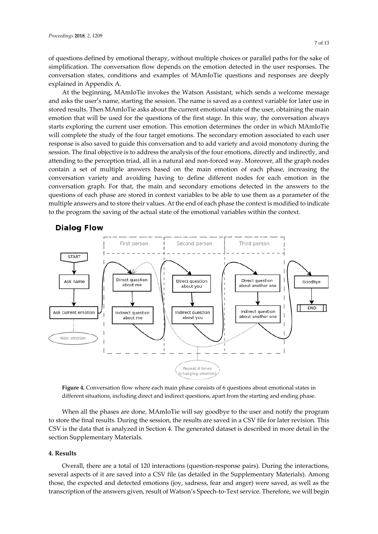of questions defined by emotional therapy, without multiple choices or parallel paths for the sake of simplification. The conversation flow depends on the emotion detected in the user responses. The conversation states, conditions and examples of MAmIoTie questions and responses are deeply explained in Appendix A.

At the beginning, MAmIoTie invokes the Watson Assistant, which sends a welcome message and asks the user's name, starting the session. The name is saved as a context variable for later use in stored results. Then MAmIoTie asks about the current emotional state of the user, obtaining the main emotion that will be used for the questions of the first stage. In this way, the conversation always starts exploring the current user emotion. This emotion determines the order in which MAmIoTie will complete the study of the four target emotions. The secondary emotion associated to each user response is also saved to guide this conversation and to add variety and avoid monotony during the session. The final objective is to address the analysis of the four emotions, directly and indirectly, and attending to the perception triad, all in a natural and non-forced way. Moreover, all the graph nodes contain a set of multiple answers based on the main emotion of each phase, increasing the conversation variety and avoiding having to define different nodes for each emotion in the conversation graph. For that, the main and secondary emotions detected in the answers to the questions of each phase are stored in context variables to be able to use them as a parameter of the multiple answers and to store their values. At the end of each phase the context is modified to indicate to the program the saving of the actual state of the emotional variables within the context.



# **Dialog Flow**



When all the phases are done, MAmIoTie will say goodbye to the user and notify the program to store the final results. During the session, the results are saved in a CSV file for later revision. This CSV is the data that is analyzed in Section 4. The generated dataset is described in more detail in the section Supplementary Materials.

### **4. Results**

Overall, there are a total of 120 interactions (question-response pairs). During the interactions, several aspects of it are saved into a CSV file (as detailed in the Supplementary Materials). Among those, the expected and detected emotions (joy, sadness, fear and anger) were saved, as well as the transcription of the answers given, result of Watson's Speech-to-Text service. Therefore, we will begin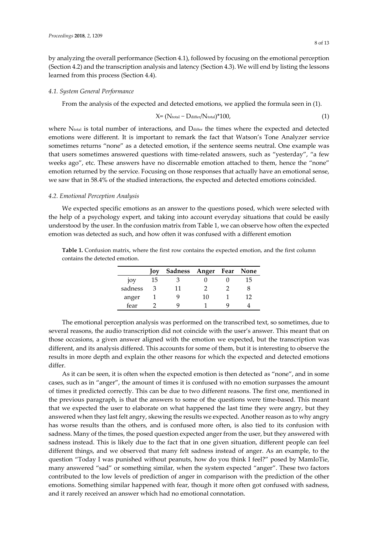by analyzing the overall performance (Section 4.1), followed by focusing on the emotional perception (Section 4.2) and the transcription analysis and latency (Section 4.3). We will end by listing the lessons learned from this process (Section 4.4).

### *4.1. System General Performance*

From the analysis of the expected and detected emotions, we applied the formula seen in (1).

$$
X = (N_{\text{total}} - D_{\text{differ}}/N_{\text{total}})^* 100,
$$
\n
$$
(1)
$$

where N<sub>total</sub> is total number of interactions, and D<sub>differ</sub> the times where the expected and detected emotions were different. It is important to remark the fact that Watson's Tone Analyzer service sometimes returns "none" as a detected emotion, if the sentence seems neutral. One example was that users sometimes answered questions with time-related answers, such as "yesterday", "a few weeks ago", etc. These answers have no discernable emotion attached to them, hence the "none" emotion returned by the service. Focusing on those responses that actually have an emotional sense, we saw that in 58.4% of the studied interactions, the expected and detected emotions coincided.

### *4.2. Emotional Perception Analysis*

We expected specific emotions as an answer to the questions posed, which were selected with the help of a psychology expert, and taking into account everyday situations that could be easily understood by the user. In the confusion matrix from Table 1, we can observe how often the expected emotion was detected as such, and how often it was confused with a different emotion

**Table 1.** Confusion matrix, where the first row contains the expected emotion, and the first column contains the detected emotion.

|         | lov | Sadness Anger Fear |    | None |
|---------|-----|--------------------|----|------|
| 10V     | 15  |                    |    | r ה  |
| sadness | З   | 11                 |    |      |
| anger   |     |                    | 10 |      |
| fear    |     |                    |    |      |

The emotional perception analysis was performed on the transcribed text, so sometimes, due to several reasons, the audio transcription did not coincide with the user's answer. This meant that on those occasions, a given answer aligned with the emotion we expected, but the transcription was different, and its analysis differed. This accounts for some of them, but it is interesting to observe the results in more depth and explain the other reasons for which the expected and detected emotions differ.

As it can be seen, it is often when the expected emotion is then detected as "none", and in some cases, such as in "anger", the amount of times it is confused with no emotion surpasses the amount of times it predicted correctly. This can be due to two different reasons. The first one, mentioned in the previous paragraph, is that the answers to some of the questions were time-based. This meant that we expected the user to elaborate on what happened the last time they were angry, but they answered when they last felt angry, skewing the results we expected. Another reason as to why angry has worse results than the others, and is confused more often, is also tied to its confusion with sadness. Many of the times, the posed question expected anger from the user, but they answered with sadness instead. This is likely due to the fact that in one given situation, different people can feel different things, and we observed that many felt sadness instead of anger. As an example, to the question "Today I was punished without peanuts, how do you think I feel?" posed by MamIoTie, many answered "sad" or something similar, when the system expected "anger". These two factors contributed to the low levels of prediction of anger in comparison with the prediction of the other emotions. Something similar happened with fear, though it more often got confused with sadness, and it rarely received an answer which had no emotional connotation.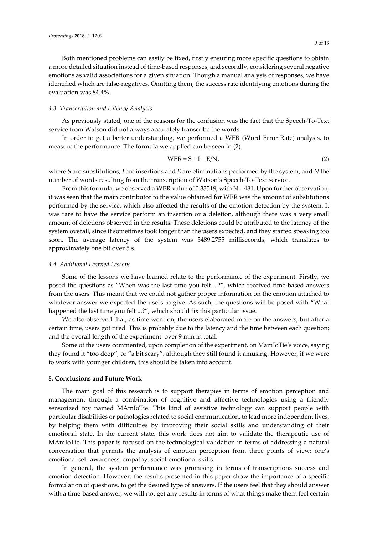Both mentioned problems can easily be fixed, firstly ensuring more specific questions to obtain a more detailed situation instead of time-based responses, and secondly, considering several negative emotions as valid associations for a given situation. Though a manual analysis of responses, we have identified which are false-negatives. Omitting them, the success rate identifying emotions during the evaluation was 84.4%.

### *4.3. Transcription and Latency Analysis*

As previously stated, one of the reasons for the confusion was the fact that the Speech-To-Text service from Watson did not always accurately transcribe the words.

In order to get a better understanding, we performed a WER (Word Error Rate) analysis, to measure the performance. The formula we applied can be seen in (2).

$$
WER = S + I + E/N, \tag{2}
$$

where *S* are substitutions, *I* are insertions and *E* are eliminations performed by the system, and *N* the number of words resulting from the transcription of Watson's Speech-To-Text service.

From this formula, we observed a WER value of 0.33519, with  $N = 481$ . Upon further observation, it was seen that the main contributor to the value obtained for WER was the amount of substitutions performed by the service, which also affected the results of the emotion detection by the system. It was rare to have the service perform an insertion or a deletion, although there was a very small amount of deletions observed in the results. These deletions could be attributed to the latency of the system overall, since it sometimes took longer than the users expected, and they started speaking too soon. The average latency of the system was 5489.2755 milliseconds, which translates to approximately one bit over 5 s.

### *4.4. Additional Learned Lessons*

Some of the lessons we have learned relate to the performance of the experiment. Firstly, we posed the questions as "When was the last time you felt ...?", which received time-based answers from the users. This meant that we could not gather proper information on the emotion attached to whatever answer we expected the users to give. As such, the questions will be posed with "What happened the last time you felt ...?", which should fix this particular issue.

We also observed that, as time went on, the users elaborated more on the answers, but after a certain time, users got tired. This is probably due to the latency and the time between each question; and the overall length of the experiment: over 9 min in total.

Some of the users commented, upon completion of the experiment, on MamIoTie's voice, saying they found it "too deep", or "a bit scary", although they still found it amusing. However, if we were to work with younger children, this should be taken into account.

### **5. Conclusions and Future Work**

The main goal of this research is to support therapies in terms of emotion perception and management through a combination of cognitive and affective technologies using a friendly sensorized toy named MAmIoTie. This kind of assistive technology can support people with particular disabilities or pathologies related to social communication, to lead more independent lives, by helping them with difficulties by improving their social skills and understanding of their emotional state. In the current state, this work does not aim to validate the therapeutic use of MAmIoTie. This paper is focused on the technological validation in terms of addressing a natural conversation that permits the analysis of emotion perception from three points of view: one's emotional self-awareness, empathy, social-emotional skills.

In general, the system performance was promising in terms of transcriptions success and emotion detection. However, the results presented in this paper show the importance of a specific formulation of questions, to get the desired type of answers. If the users feel that they should answer with a time-based answer, we will not get any results in terms of what things make them feel certain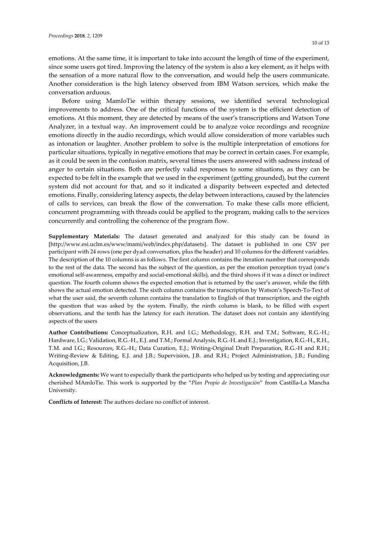emotions. At the same time, it is important to take into account the length of time of the experiment, since some users got tired. Improving the latency of the system is also a key element, as it helps with the sensation of a more natural flow to the conversation, and would help the users communicate. Another consideration is the high latency observed from IBM Watson services, which make the conversation arduous.

Before using MamIoTie within therapy sessions, we identified several technological improvements to address. One of the critical functions of the system is the efficient detection of emotions. At this moment, they are detected by means of the user's transcriptions and Watson Tone Analyzer, in a textual way. An improvement could be to analyze voice recordings and recognize emotions directly in the audio recordings, which would allow consideration of more variables such as intonation or laughter. Another problem to solve is the multiple interpretation of emotions for particular situations, typically in negative emotions that may be correct in certain cases. For example, as it could be seen in the confusion matrix, several times the users answered with sadness instead of anger to certain situations. Both are perfectly valid responses to some situations, as they can be expected to be felt in the example that we used in the experiment (getting grounded), but the current system did not account for that, and so it indicated a disparity between expected and detected emotions. Finally, considering latency aspects, the delay between interactions, caused by the latencies of calls to services, can break the flow of the conversation. To make these calls more efficient, concurrent programming with threads could be applied to the program, making calls to the services concurrently and controlling the coherence of the program flow.

**Supplementary Materials:** The dataset generated and analyzed for this study can be found in [http://www.esi.uclm.es/www/mami/web/index.php/datasets]. The dataset is published in one CSV per participant with 24 rows (one per dyad conversation, plus the header) and 10 columns for the different variables. The description of the 10 columns is as follows. The first column contains the iteration number that corresponds to the rest of the data. The second has the subject of the question, as per the emotion perception tryad (one's emotional self-awareness, empathy and social-emotional skills), and the third shows if it was a direct or indirect question. The fourth column shows the expected emotion that is returned by the user's answer, while the fifth shows the actual emotion detected. The sixth column contains the transcription by Watson's Speech-To-Text of what the user said, the seventh column contains the translation to English of that transcription, and the eighth the question that was asked by the system. Finally, the ninth column is blank, to be filled with expert observations, and the tenth has the latency for each iteration. The dataset does not contain any identifying aspects of the users

**Author Contributions:** Conceptualization, R.H. and I.G.; Methodology, R.H. and T.M.; Software, R.G.-H.; Hardware, I.G.; Validation, R.G.-H., E.J. and T.M.; Formal Analysis, R.G.-H. and E.J.; Investigation, R.G.-H., R.H., T.M. and I.G.; Resources, R.G.-H.; Data Curation, E.J.; Writing-Original Draft Preparation, R.G.-H and R.H.; Writing-Review & Editing, E.J. and J.B.; Supervision, J.B. and R.H.; Project Administration, J.B.; Funding Acquisition, J.B.

**Acknowledgments:** We want to especially thank the participants who helped us by testing and appreciating our cherished MAmIoTie. This work is supported by the "*Plan Propio de Investigación*" from Castilla-La Mancha University.

**Conflicts of Interest:** The authors declare no conflict of interest.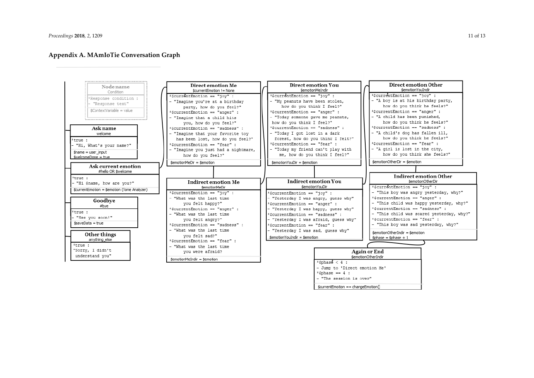### **Appendix A. MAmIoTie Conversation Graph**

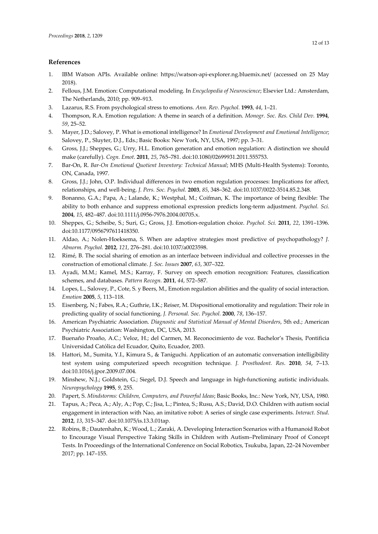# **References**

- 1. IBM Watson APIs. Available online: https://watson-api-explorer.ng.bluemix.net/ (accessed on 25 May 2018).
- 2. Fellous, J.M. Emotion: Computational modeling. In *Encyclopedia of Neuroscience*; Elsevier Ltd.: Amsterdam, The Netherlands, 2010; pp. 909–913.
- 3. Lazarus, R.S. From psychological stress to emotions. *Ann. Rev. Psychol.* **1993**, *44*, 1–21.
- 4. Thompson, R.A. Emotion regulation: A theme in search of a definition. *Monogr. Soc. Res. Child Dev.* **1994**, *59*, 25–52.
- 5. Mayer, J.D.; Salovey, P. What is emotional intelligence? In *Emotional Development and Emotional Intelligence*; Salovey, P., Sluyter, D.J., Eds.; Basic Books: New York, NY, USA, 1997; pp. 3–31.
- 6. Gross, J.J.; Sheppes, G.; Urry, H.L. Emotion generation and emotion regulation: A distinction we should make (carefully). *Cogn. Emot*. **2011**, *25*, 765–781. doi:10.1080/02699931.2011.555753.
- 7. Bar-On, R. *Bar-On Emotional Quotient Inventory: Technical Manual*; MHS (Multi-Health Systems): Toronto, ON, Canada, 1997.
- 8. Gross, J.J.; John, O.P. Individual differences in two emotion regulation processes: Implications for affect, relationships, and well-being. *J. Pers. Soc. Psychol.* **2003**, *85*, 348–362. doi:10.1037/0022-3514.85.2.348.
- 9. Bonanno, G.A.; Papa, A.; Lalande, K.; Westphal, M.; Coifman, K. The importance of being flexible: The ability to both enhance and suppress emotional expression predicts long-term adjustment. *Psychol. Sci.* **2004**, *15*, 482–487. doi:10.1111/j.0956-7976.2004.00705.x.
- 10. Sheppes, G.; Scheibe, S.; Suri, G.; Gross, J.J. Emotion-regulation choice. *Psychol. Sci.* **2011**, *22*, 1391–1396. doi:10.1177/0956797611418350.
- 11. Aldao, A.; Nolen-Hoeksema, S. When are adaptive strategies most predictive of psychopathology? *J. Abnorm. Psychol.* **2012**, *121*, 276–281. doi:10.1037/a0023598.
- 12. Rimé, B. The social sharing of emotion as an interface between individual and collective processes in the construction of emotional climate. *J. Soc. Issues* **2007**, *63*, 307–322.
- 13. Ayadi, M.M.; Kamel, M.S.; Karray, F. Survey on speech emotion recognition: Features, classification schemes, and databases. *Pattern Recogn.* **2011**, *44*, 572–587.
- 14. Lopes, L., Salovey, P., Cote, S. y Beers, M., Emotion regulation abilities and the quality of social interaction. *Emotion* **2005**, *5*, 113–118.
- 15. Eisenberg, N.; Fabes, R.A.; Guthrie, I.K.; Reiser, M. Dispositional emotionality and regulation: Their role in predicting quality of social functioning. *J. Personal. Soc. Psychol.* **2000**, *78*, 136–157.
- 16. American Psychiatric Association. *Diagnostic and Statistical Manual of Mental Disorders*, 5th ed.; American Psychiatric Association: Washington, DC, USA, 2013.
- 17. Buenaño Proaño, A.C.; Veloz, H.; del Carmen, M. Reconocimiento de voz. Bachelor's Thesis, Pontificia Universidad Católica del Ecuador, Quito, Ecuador, 2003.
- 18. Hattori, M., Sumita, Y.I., Kimura S., & Taniguchi. Application of an automatic conversation intelligibility test system using computerized speech recognition technique*. J. Prosthodont. Res*. **2010**, *54*, 7–13. doi:10.1016/j.jpor.2009.07.004.
- 19. Minshew, N.J.; Goldstein, G.; Siegel, D.J. Speech and language in high-functioning autistic individuals. *Neuropsychology* **1995**, *9*, 255.
- 20. Papert, S. *Mindstorms: Children, Computers, and Powerful Ideas*; Basic Books, Inc.: New York, NY, USA, 1980.
- 21. Tapus, A.; Peca, A.; Aly, A.; Pop, C.; Jisa, L.; Pintea, S.; Rusu, A.S.; David, D.O. Children with autism social engagement in interaction with Nao, an imitative robot: A series of single case experiments. *Interact. Stud*. **2012**, *13*, 315–347. doi:10.1075/is.13.3.01tap.
- 22. Robins, B.; Dautenhahn, K.; Wood, L.; Zaraki, A. Developing Interaction Scenarios with a Humanoid Robot to Encourage Visual Perspective Taking Skills in Children with Autism–Preliminary Proof of Concept Tests. In Proceedings of the International Conference on Social Robotics, Tsukuba, Japan, 22–24 November 2017; pp. 147–155.